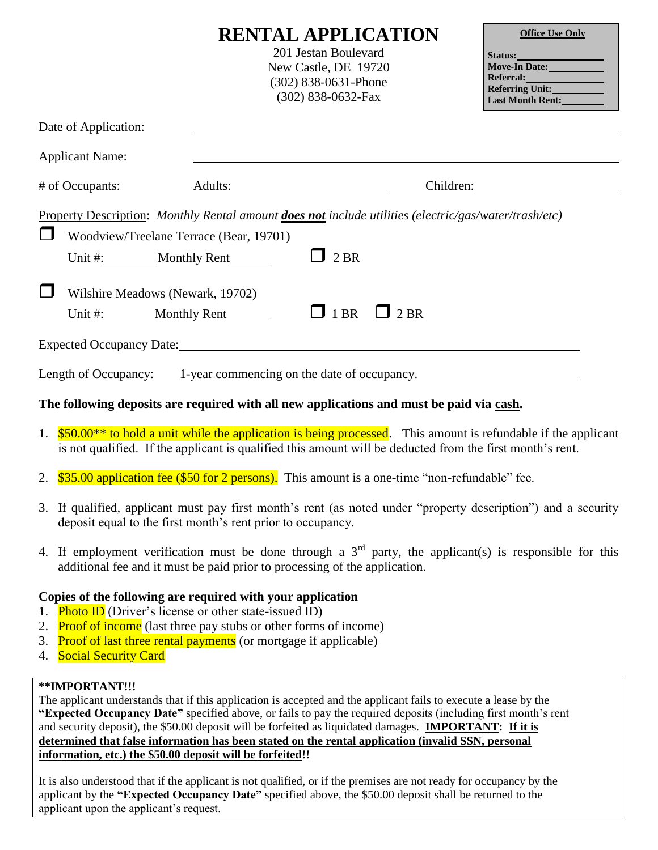|                                                                                                                                                                                           | <b>RENTAL APPLICATION</b><br>201 Jestan Boulevard<br>New Castle, DE 19720<br>$(302)$ 838-0631-Phone<br>$(302)$ 838-0632-Fax |             | <b>Office Use Only</b><br>Move-In Date:<br>Referral:<br>Referring Unit:___________<br>Last Month Rent: |  |
|-------------------------------------------------------------------------------------------------------------------------------------------------------------------------------------------|-----------------------------------------------------------------------------------------------------------------------------|-------------|--------------------------------------------------------------------------------------------------------|--|
| Date of Application:                                                                                                                                                                      |                                                                                                                             |             |                                                                                                        |  |
| <b>Applicant Name:</b>                                                                                                                                                                    |                                                                                                                             |             |                                                                                                        |  |
| # of Occupants:                                                                                                                                                                           |                                                                                                                             |             |                                                                                                        |  |
| Property Description: Monthly Rental amount <b>does not</b> include utilities (electric/gas/water/trash/etc)<br>$\Box$<br>Woodview/Treelane Terrace (Bear, 19701)<br>Unit #: Monthly Rent |                                                                                                                             | 2 BR        |                                                                                                        |  |
| $\Box$<br>Wilshire Meadows (Newark, 19702)                                                                                                                                                |                                                                                                                             | $\Box$ 1 BR | $\Box$ 2 BR                                                                                            |  |
|                                                                                                                                                                                           |                                                                                                                             |             |                                                                                                        |  |
| Length of Occupancy: 1-year commencing on the date of occupancy.                                                                                                                          |                                                                                                                             |             |                                                                                                        |  |

#### **The following deposits are required with all new applications and must be paid via cash.**

- 1. \$50.00<sup>\*\*</sup> to hold a unit while the application is being processed. This amount is refundable if the applicant is not qualified. If the applicant is qualified this amount will be deducted from the first month's rent.
- 2. \$35.00 application fee (\$50 for 2 persons). This amount is a one-time "non-refundable" fee.
- 3. If qualified, applicant must pay first month's rent (as noted under "property description") and a security deposit equal to the first month's rent prior to occupancy.
- 4. If employment verification must be done through a  $3<sup>rd</sup>$  party, the applicant(s) is responsible for this additional fee and it must be paid prior to processing of the application.

#### **Copies of the following are required with your application**

- 1. **Photo ID** (Driver's license or other state-issued ID)
- 2. Proof of income (last three pay stubs or other forms of income)
- 3. Proof of last three rental payments (or mortgage if applicable)
- 4. Social Security Card

### **\*\*IMPORTANT!!!**

The applicant understands that if this application is accepted and the applicant fails to execute a lease by the **"Expected Occupancy Date"** specified above, or fails to pay the required deposits (including first month's rent and security deposit), the \$50.00 deposit will be forfeited as liquidated damages. **IMPORTANT: If it is determined that false information has been stated on the rental application (invalid SSN, personal information, etc.) the \$50.00 deposit will be forfeited!!** 

It is also understood that if the applicant is not qualified, or if the premises are not ready for occupancy by the applicant by the **"Expected Occupancy Date"** specified above, the \$50.00 deposit shall be returned to the applicant upon the applicant's request.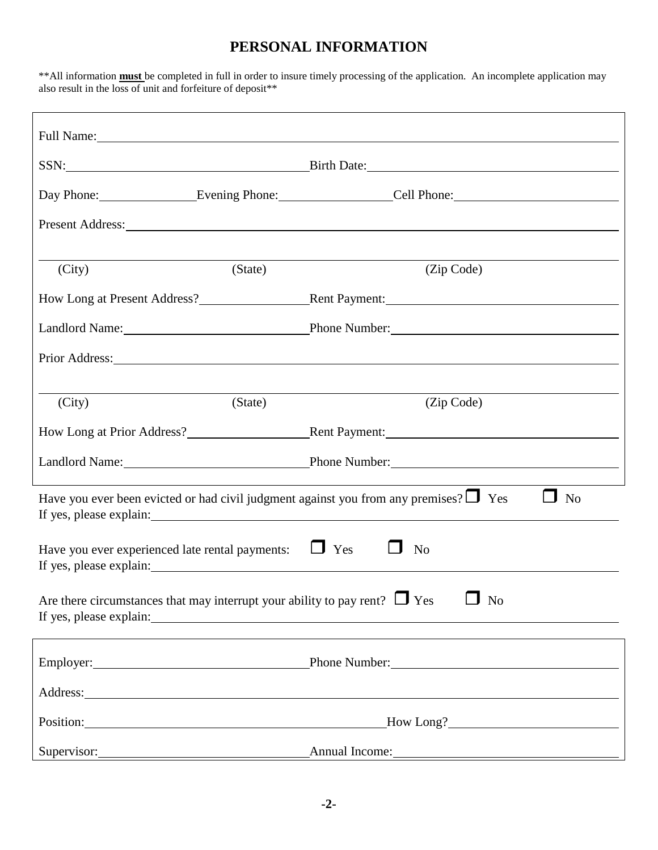# **PERSONAL INFORMATION**

\*\*All information **must** be completed in full in order to insure timely processing of the application. An incomplete application may also result in the loss of unit and forfeiture of deposit\*\*

| Full Name: Name and Solid Name and Solid Name and Solid Name and Solid Name and Solid Name and Solid Name and Solid Name and Solid Name and Solid Name and Solid Name and Solid Name and Solid Name and Solid Name and Solid N<br>SSN: Birth Date: Birth Date: |                                                                                                                                                                                                                               |  |  |  |  |
|----------------------------------------------------------------------------------------------------------------------------------------------------------------------------------------------------------------------------------------------------------------|-------------------------------------------------------------------------------------------------------------------------------------------------------------------------------------------------------------------------------|--|--|--|--|
|                                                                                                                                                                                                                                                                | Day Phone: Evening Phone: Cell Phone: Cell Phone:                                                                                                                                                                             |  |  |  |  |
|                                                                                                                                                                                                                                                                | Present Address:                                                                                                                                                                                                              |  |  |  |  |
|                                                                                                                                                                                                                                                                |                                                                                                                                                                                                                               |  |  |  |  |
| (State)<br>(City)                                                                                                                                                                                                                                              | (Zip Code)                                                                                                                                                                                                                    |  |  |  |  |
|                                                                                                                                                                                                                                                                | How Long at Present Address? Rent Payment:                                                                                                                                                                                    |  |  |  |  |
|                                                                                                                                                                                                                                                                | Landlord Name: Phone Number: Phone Number:                                                                                                                                                                                    |  |  |  |  |
|                                                                                                                                                                                                                                                                | Prior Address: Note and the set of the set of the set of the set of the set of the set of the set of the set of the set of the set of the set of the set of the set of the set of the set of the set of the set of the set of |  |  |  |  |
|                                                                                                                                                                                                                                                                |                                                                                                                                                                                                                               |  |  |  |  |
| (State)<br>(City)                                                                                                                                                                                                                                              | (Zip Code)                                                                                                                                                                                                                    |  |  |  |  |
|                                                                                                                                                                                                                                                                |                                                                                                                                                                                                                               |  |  |  |  |
|                                                                                                                                                                                                                                                                | Landlord Name: Phone Number: Phone Number:                                                                                                                                                                                    |  |  |  |  |
| Have you ever been evicted or had civil judgment against you from any premises? $\Box$ Yes<br>N <sub>o</sub><br>If yes, please explain:                                                                                                                        |                                                                                                                                                                                                                               |  |  |  |  |
| $\Box$ Yes<br>Have you ever experienced late rental payments:<br>N <sub>o</sub><br>If yes, please explain:                                                                                                                                                     |                                                                                                                                                                                                                               |  |  |  |  |
| Are there circumstances that may interrupt your ability to pay rent? $\Box$ Yes<br>N <sub>o</sub>                                                                                                                                                              |                                                                                                                                                                                                                               |  |  |  |  |
|                                                                                                                                                                                                                                                                | Employer: Phone Number: Phone Number:                                                                                                                                                                                         |  |  |  |  |
|                                                                                                                                                                                                                                                                |                                                                                                                                                                                                                               |  |  |  |  |
| Position: New York Contract to the Contract of the Contract of the Contract of the Contract of the Contract of the Contract of the Contract of the Contract of the Contract of the Contract of the Contract of the Contract of                                 | How Long?                                                                                                                                                                                                                     |  |  |  |  |
| Supervisor:                                                                                                                                                                                                                                                    | Annual Income:<br><u> 1980 - Andrea Andrew Maria (h. 1980).</u>                                                                                                                                                               |  |  |  |  |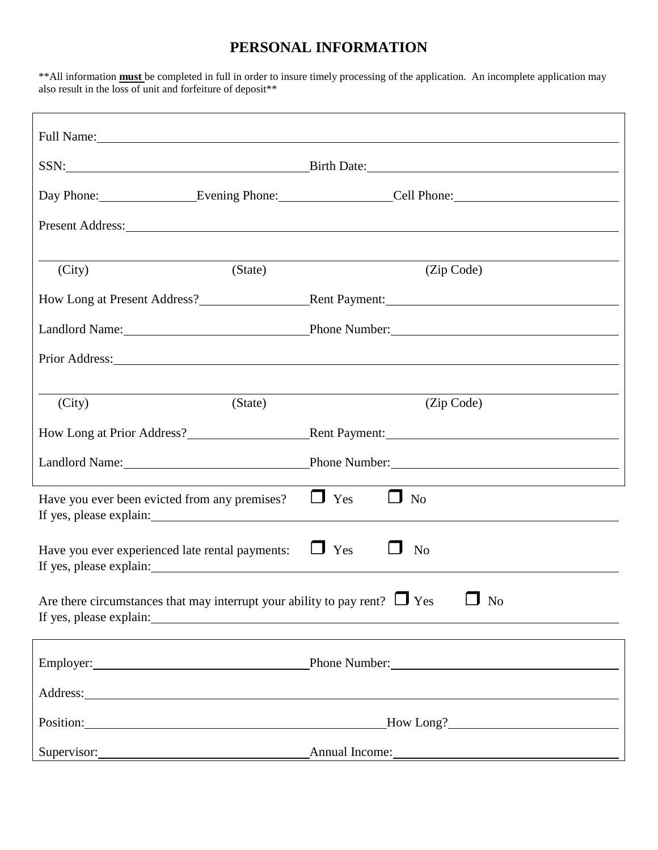## **PERSONAL INFORMATION**

\*\*All information **must** be completed in full in order to insure timely processing of the application. An incomplete application may also result in the loss of unit and forfeiture of deposit\*\*

| Full Name:                                                                                   |         |                                                                                                                                                                                                                                                          |  |  |
|----------------------------------------------------------------------------------------------|---------|----------------------------------------------------------------------------------------------------------------------------------------------------------------------------------------------------------------------------------------------------------|--|--|
| SSN: Birth Date: Birth Date:                                                                 |         |                                                                                                                                                                                                                                                          |  |  |
|                                                                                              |         | Day Phone: Evening Phone: Cell Phone: Cell Phone:                                                                                                                                                                                                        |  |  |
|                                                                                              |         | Present Address: New York Changes and Separate Separate Separate Separate Separate Separate Separate Separate Separate Separate Separate Separate Separate Separate Separate Separate Separate Separate Separate Separate Sepa                           |  |  |
|                                                                                              |         |                                                                                                                                                                                                                                                          |  |  |
| (City)                                                                                       | (State) | (Zip Code)                                                                                                                                                                                                                                               |  |  |
|                                                                                              |         |                                                                                                                                                                                                                                                          |  |  |
|                                                                                              |         | Landlord Name: Phone Number: Phone Number:                                                                                                                                                                                                               |  |  |
|                                                                                              |         | Prior Address: No. 1996. The Contract of the Contract of the Contract of the Contract of the Contract of the Contract of the Contract of the Contract of the Contract of the Contract of the Contract of the Contract of the C                           |  |  |
|                                                                                              |         |                                                                                                                                                                                                                                                          |  |  |
| (City)                                                                                       | (State) | (Zip Code)                                                                                                                                                                                                                                               |  |  |
|                                                                                              |         |                                                                                                                                                                                                                                                          |  |  |
|                                                                                              |         | Landlord Name: Phone Number: Phone Number:                                                                                                                                                                                                               |  |  |
| Have you ever been evicted from any premises?                                                |         | $\Box$ Yes<br>$\Box$ No<br>If yes, please explain: The same state of the same state of the same state of the same state of the same state of the same state of the same state of the same state of the same state of the same state of the same state of |  |  |
| Have you ever experienced late rental payments:<br>If yes, please explain:                   |         | $\Box$ Yes<br>N <sub>o</sub>                                                                                                                                                                                                                             |  |  |
| Are there circumstances that may interrupt your ability to pay rent? $\Box$ Yes<br>$\Box$ No |         |                                                                                                                                                                                                                                                          |  |  |
|                                                                                              |         | Employer: Phone Number: Phone Number:                                                                                                                                                                                                                    |  |  |
|                                                                                              |         |                                                                                                                                                                                                                                                          |  |  |
|                                                                                              |         | Position: Flow Long? Flow Long?                                                                                                                                                                                                                          |  |  |
| Supervisor:                                                                                  |         |                                                                                                                                                                                                                                                          |  |  |